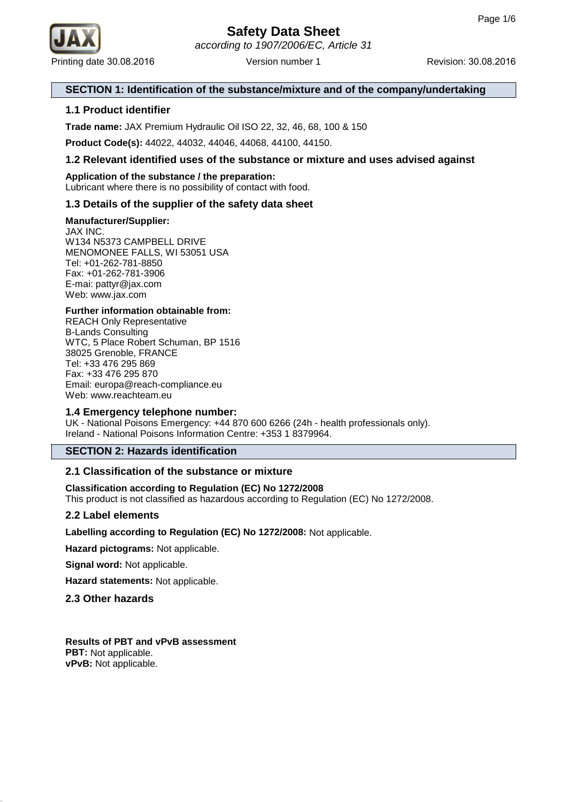

# **Safety Data Sheet** according to 1907/2006/EC, Article 31

# **SECTION 1: Identification of the substance/mixture and of the company/undertaking**

# **1.1 Product identifier**

**Trade name:** JAX Premium Hydraulic Oil ISO 22, 32, 46, 68, 100 & 150

**Product Code(s):** 44022, 44032, 44046, 44068, 44100, 44150.

# **1.2 Relevant identified uses of the substance or mixture and uses advised against**

# **Application of the substance / the preparation:**

Lubricant where there is no possibility of contact with food.

# **1.3 Details of the supplier of the safety data sheet**

### **Manufacturer/Supplier:**

JAX INC. W134 N5373 CAMPBELL DRIVE MENOMONEE FALLS, WI 53051 USA Tel: +01-262-781-8850 Fax: +01-262-781-3906 E-mai: pattyr@jax.com Web: www.jax.com

### **Further information obtainable from:**

REACH Only Representative B-Lands Consulting WTC, 5 Place Robert Schuman, BP 1516 38025 Grenoble, FRANCE Tel: +33 476 295 869 Fax: +33 476 295 870 Email: europa@reach-compliance.eu Web: www.reachteam.eu

# **1.4 Emergency telephone number:**

UK - National Poisons Emergency: +44 870 600 6266 (24h - health professionals only). Ireland - National Poisons Information Centre: +353 1 8379964.

# **SECTION 2: Hazards identification**

# **2.1 Classification of the substance or mixture**

**Classification according to Regulation (EC) No 1272/2008** This product is not classified as hazardous according to Regulation (EC) No 1272/2008.

#### **2.2 Label elements**

**Labelling according to Regulation (EC) No 1272/2008:** Not applicable.

**Hazard pictograms:** Not applicable.

**Signal word:** Not applicable.

**Hazard statements:** Not applicable.

# **2.3 Other hazards**

**Results of PBT and vPvB assessment PBT:** Not applicable. **vPvB:** Not applicable.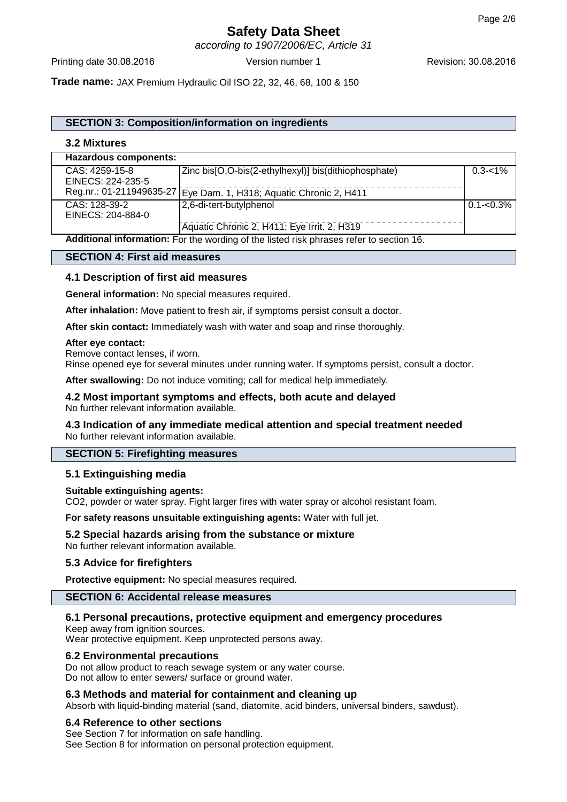according to 1907/2006/EC, Article 31

**Trade name:** JAX Premium Hydraulic Oil ISO 22, 32, 46, 68, 100 & 150

# **SECTION 3: Composition/information on ingredients**

### **3.2 Mixtures**

| <b>Hazardous components:</b>                                                            |                                                      |                 |
|-----------------------------------------------------------------------------------------|------------------------------------------------------|-----------------|
| CAS: 4259-15-8                                                                          | Zinc bis[O,O-bis(2-ethylhexyl)] bis(dithiophosphate) | $0.3 - 1\%$     |
| EINECS: 224-235-5                                                                       |                                                      |                 |
| Reg.nr.: 01-211949635-27                                                                | Eye Dam. 1, H318; Aquatic Chronic 2, H411            |                 |
| CAS: 128-39-2                                                                           | 2,6-di-tert-butylphenol                              | $ 0.1 - 0.3\% $ |
| EINECS: 204-884-0                                                                       |                                                      |                 |
|                                                                                         | Aquatic Chronic 2, H411; Eye Irrit. 2, H319          |                 |
| Additional information: For the wording of the listed risk phrases refer to section 16. |                                                      |                 |

# **SECTION 4: First aid measures**

### **4.1 Description of first aid measures**

**General information:** No special measures required.

**After inhalation:** Move patient to fresh air, if symptoms persist consult a doctor.

**After skin contact:** Immediately wash with water and soap and rinse thoroughly.

#### **After eye contact:**

Remove contact lenses, if worn.

Rinse opened eye for several minutes under running water. If symptoms persist, consult a doctor.

**After swallowing:** Do not induce vomiting; call for medical help immediately.

#### **4.2 Most important symptoms and effects, both acute and delayed** No further relevant information available.

### **4.3 Indication of any immediate medical attention and special treatment needed** No further relevant information available.

#### **SECTION 5: Firefighting measures**

#### **5.1 Extinguishing media**

#### **Suitable extinguishing agents:**

CO2, powder or water spray. Fight larger fires with water spray or alcohol resistant foam.

**For safety reasons unsuitable extinguishing agents:** Water with full jet.

# **5.2 Special hazards arising from the substance or mixture**

No further relevant information available.

#### **5.3 Advice for firefighters**

**Protective equipment:** No special measures required.

#### **SECTION 6: Accidental release measures**

#### **6.1 Personal precautions, protective equipment and emergency procedures**

Keep away from ignition sources.

Wear protective equipment. Keep unprotected persons away.

#### **6.2 Environmental precautions**

Do not allow product to reach sewage system or any water course. Do not allow to enter sewers/ surface or ground water.

# **6.3 Methods and material for containment and cleaning up**

Absorb with liquid-binding material (sand, diatomite, acid binders, universal binders, sawdust).

#### **6.4 Reference to other sections**

See Section 7 for information on safe handling. See Section 8 for information on personal protection equipment.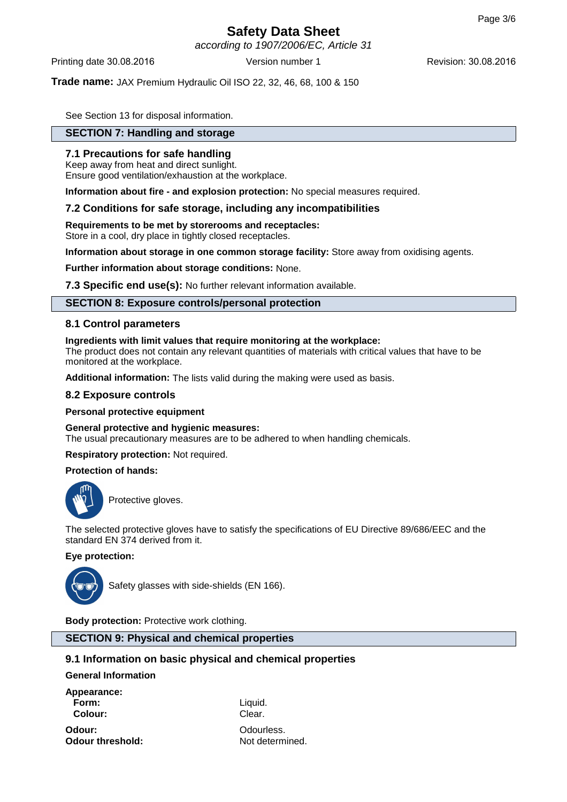according to 1907/2006/EC, Article 31

Printing date 30.08.2016 **Version number 1** Revision: 30.08.2016 **Revision:** 30.08.2016

### **Trade name:** JAX Premium Hydraulic Oil ISO 22, 32, 46, 68, 100 & 150

See Section 13 for disposal information.

# **SECTION 7: Handling and storage**

### **7.1 Precautions for safe handling**

Keep away from heat and direct sunlight. Ensure good ventilation/exhaustion at the workplace.

**Information about fire - and explosion protection:** No special measures required.

#### **7.2 Conditions for safe storage, including any incompatibilities**

**Requirements to be met by storerooms and receptacles:**

Store in a cool, dry place in tightly closed receptacles.

**Information about storage in one common storage facility:** Store away from oxidising agents.

**Further information about storage conditions:** None.

**7.3 Specific end use(s):** No further relevant information available.

### **SECTION 8: Exposure controls/personal protection**

### **8.1 Control parameters**

#### **Ingredients with limit values that require monitoring at the workplace:**

The product does not contain any relevant quantities of materials with critical values that have to be monitored at the workplace.

**Additional information:** The lists valid during the making were used as basis.

#### **8.2 Exposure controls**

**Personal protective equipment**

#### **General protective and hygienic measures:**

The usual precautionary measures are to be adhered to when handling chemicals.

**Respiratory protection:** Not required.

### **Protection of hands:**



Protective gloves.

The selected protective gloves have to satisfy the specifications of EU Directive 89/686/EEC and the standard EN 374 derived from it.

### **Eye protection:**



Safety glasses with side-shields (EN 166).

**Body protection:** Protective work clothing.

### **SECTION 9: Physical and chemical properties**

# **9.1 Information on basic physical and chemical properties**

**General Information**

**Appearance: Form:** Liquid. **Colour:** Clear.

**Odour:** Odourless. **Odour threshold:** Not determined.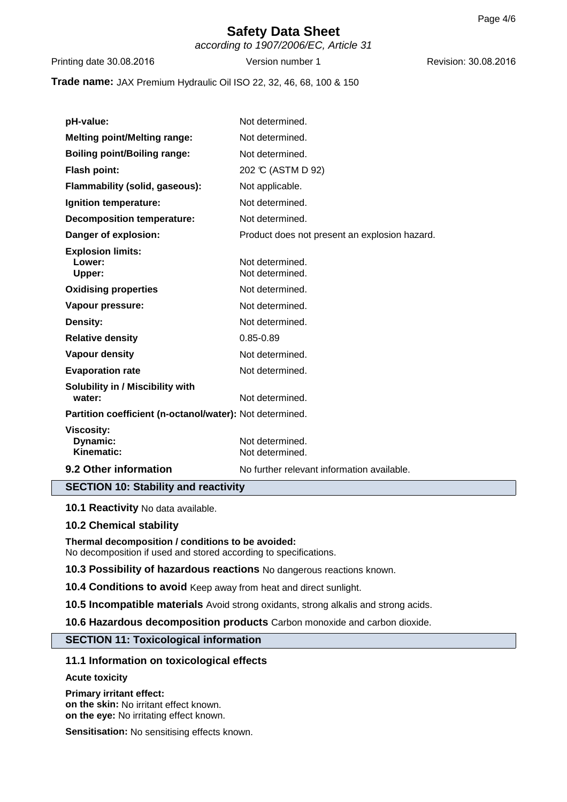according to 1907/2006/EC, Article 31

Printing date 30.08.2016 **Version number 1** Revision: 30.08.2016 **Revision: 30.08.2016** 

### **Trade name:** JAX Premium Hydraulic Oil ISO 22, 32, 46, 68, 100 & 150

| pH-value:                                                | Not determined.                               |  |
|----------------------------------------------------------|-----------------------------------------------|--|
| <b>Melting point/Melting range:</b>                      | Not determined.                               |  |
| <b>Boiling point/Boiling range:</b>                      | Not determined.                               |  |
| Flash point:                                             | 202 °C (ASTM D 92)                            |  |
| Flammability (solid, gaseous):                           | Not applicable.                               |  |
| Ignition temperature:                                    | Not determined.                               |  |
| <b>Decomposition temperature:</b>                        | Not determined.                               |  |
| Danger of explosion:                                     | Product does not present an explosion hazard. |  |
| <b>Explosion limits:</b><br>Lower:<br>Upper:             | Not determined.<br>Not determined.            |  |
| <b>Oxidising properties</b>                              | Not determined.                               |  |
| Vapour pressure:                                         | Not determined.                               |  |
| Density:                                                 | Not determined.                               |  |
| <b>Relative density</b>                                  | $0.85 - 0.89$                                 |  |
| <b>Vapour density</b>                                    | Not determined.                               |  |
| <b>Evaporation rate</b>                                  | Not determined.                               |  |
| Solubility in / Miscibility with<br>water:               | Not determined.                               |  |
| Partition coefficient (n-octanol/water): Not determined. |                                               |  |
| <b>Viscosity:</b><br>Dynamic:<br>Kinematic:              | Not determined.<br>Not determined.            |  |
| 9.2 Other information                                    | No further relevant information available.    |  |
| <b>SECTION 10: Stability and reactivity</b>              |                                               |  |

**10.1 Reactivity** No data available.

# **10.2 Chemical stability**

**Thermal decomposition / conditions to be avoided:** No decomposition if used and stored according to specifications.

**10.3 Possibility of hazardous reactions** No dangerous reactions known.

**10.4 Conditions to avoid** Keep away from heat and direct sunlight.

**10.5 Incompatible materials** Avoid strong oxidants, strong alkalis and strong acids.

**10.6 Hazardous decomposition products** Carbon monoxide and carbon dioxide.

# **SECTION 11: Toxicological information**

# **11.1 Information on toxicological effects**

**Acute toxicity**

**Primary irritant effect: on the skin:** No irritant effect known. **on the eye:** No irritating effect known.

**Sensitisation:** No sensitising effects known.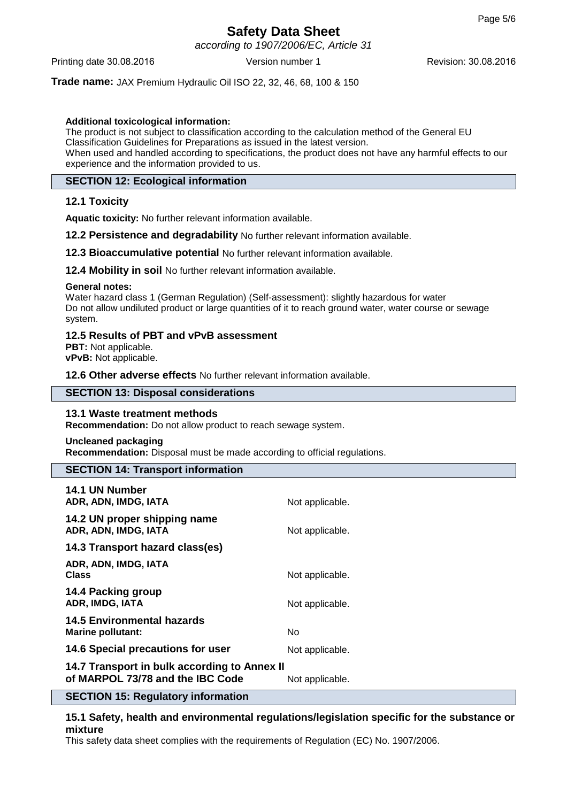according to 1907/2006/EC, Article 31

Printing date 30.08.2016 **Version number 1** Revision: 30.08.2016 **Revision:** 30.08.2016

**Trade name:** JAX Premium Hydraulic Oil ISO 22, 32, 46, 68, 100 & 150

### **Additional toxicological information:**

The product is not subject to classification according to the calculation method of the General EU Classification Guidelines for Preparations as issued in the latest version. When used and handled according to specifications, the product does not have any harmful effects to our experience and the information provided to us.

# **SECTION 12: Ecological information**

# **12.1 Toxicity**

**Aquatic toxicity:** No further relevant information available.

**12.2 Persistence and degradability** No further relevant information available.

**12.3 Bioaccumulative potential** No further relevant information available.

**12.4 Mobility in soil** No further relevant information available.

#### **General notes:**

Water hazard class 1 (German Regulation) (Self-assessment): slightly hazardous for water Do not allow undiluted product or large quantities of it to reach ground water, water course or sewage system.

### **12.5 Results of PBT and vPvB assessment**

**PBT:** Not applicable. **vPvB:** Not applicable.

**12.6 Other adverse effects** No further relevant information available.

### **SECTION 13: Disposal considerations**

# **13.1 Waste treatment methods**

**Recommendation:** Do not allow product to reach sewage system.

#### **Uncleaned packaging**

**Recommendation:** Disposal must be made according to official regulations.

#### **SECTION 14: Transport information**

| <b>14.1 UN Number</b><br>ADR, ADN, IMDG, IATA                                         | Not applicable. |
|---------------------------------------------------------------------------------------|-----------------|
| 14.2 UN proper shipping name<br>ADR, ADN, IMDG, IATA                                  | Not applicable. |
| 14.3 Transport hazard class(es)                                                       |                 |
| ADR, ADN, IMDG, IATA<br><b>Class</b>                                                  | Not applicable. |
| 14.4 Packing group<br>ADR, IMDG, IATA                                                 | Not applicable. |
| <b>14.5 Environmental hazards</b><br>Marine pollutant:                                | No.             |
| 14.6 Special precautions for user                                                     | Not applicable. |
| 14.7 Transport in bulk according to Annex II<br>of MARPOL 73/78 and the IBC Code<br>. | Not applicable. |

# **SECTION 15: Regulatory information**

**15.1 Safety, health and environmental regulations/legislation specific for the substance or mixture**

This safety data sheet complies with the requirements of Regulation (EC) No. 1907/2006.